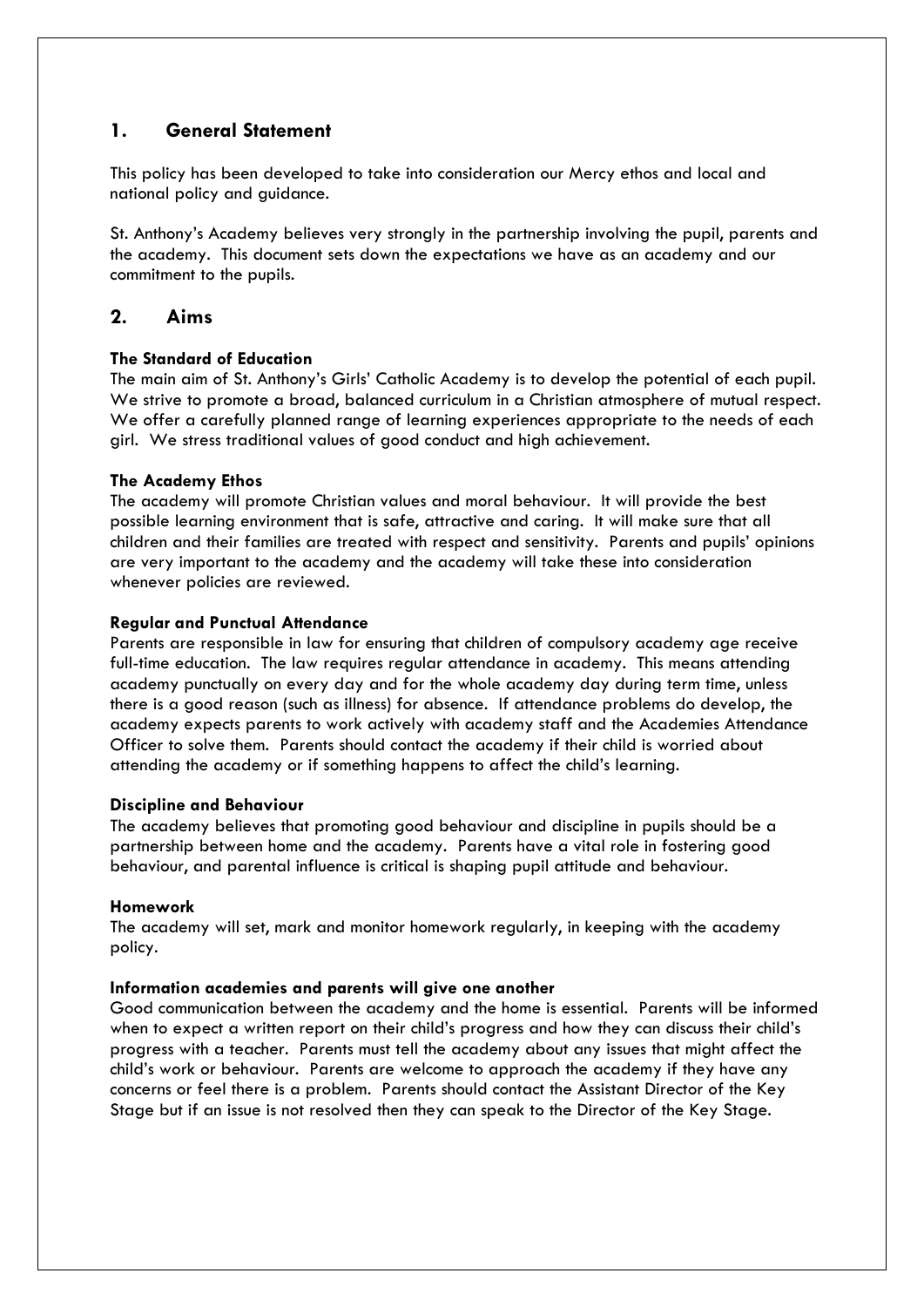### **1. General Statement**

This policy has been developed to take into consideration our Mercy ethos and local and national policy and guidance.

St. Anthony's Academy believes very strongly in the partnership involving the pupil, parents and the academy. This document sets down the expectations we have as an academy and our commitment to the pupils.

### **2. Aims**

### **The Standard of Education**

The main aim of St. Anthony's Girls' Catholic Academy is to develop the potential of each pupil. We strive to promote a broad, balanced curriculum in a Christian atmosphere of mutual respect. We offer a carefully planned range of learning experiences appropriate to the needs of each girl. We stress traditional values of good conduct and high achievement.

### **The Academy Ethos**

The academy will promote Christian values and moral behaviour. It will provide the best possible learning environment that is safe, attractive and caring. It will make sure that all children and their families are treated with respect and sensitivity. Parents and pupils' opinions are very important to the academy and the academy will take these into consideration whenever policies are reviewed.

### **Regular and Punctual Attendance**

Parents are responsible in law for ensuring that children of compulsory academy age receive full-time education. The law requires regular attendance in academy. This means attending academy punctually on every day and for the whole academy day during term time, unless there is a good reason (such as illness) for absence. If attendance problems do develop, the academy expects parents to work actively with academy staff and the Academies Attendance Officer to solve them. Parents should contact the academy if their child is worried about attending the academy or if something happens to affect the child's learning.

#### **Discipline and Behaviour**

The academy believes that promoting good behaviour and discipline in pupils should be a partnership between home and the academy. Parents have a vital role in fostering good behaviour, and parental influence is critical is shaping pupil attitude and behaviour.

#### **Homework**

The academy will set, mark and monitor homework regularly, in keeping with the academy policy.

#### **Information academies and parents will give one another**

Good communication between the academy and the home is essential. Parents will be informed when to expect a written report on their child's progress and how they can discuss their child's progress with a teacher. Parents must tell the academy about any issues that might affect the child's work or behaviour. Parents are welcome to approach the academy if they have any concerns or feel there is a problem. Parents should contact the Assistant Director of the Key Stage but if an issue is not resolved then they can speak to the Director of the Key Stage.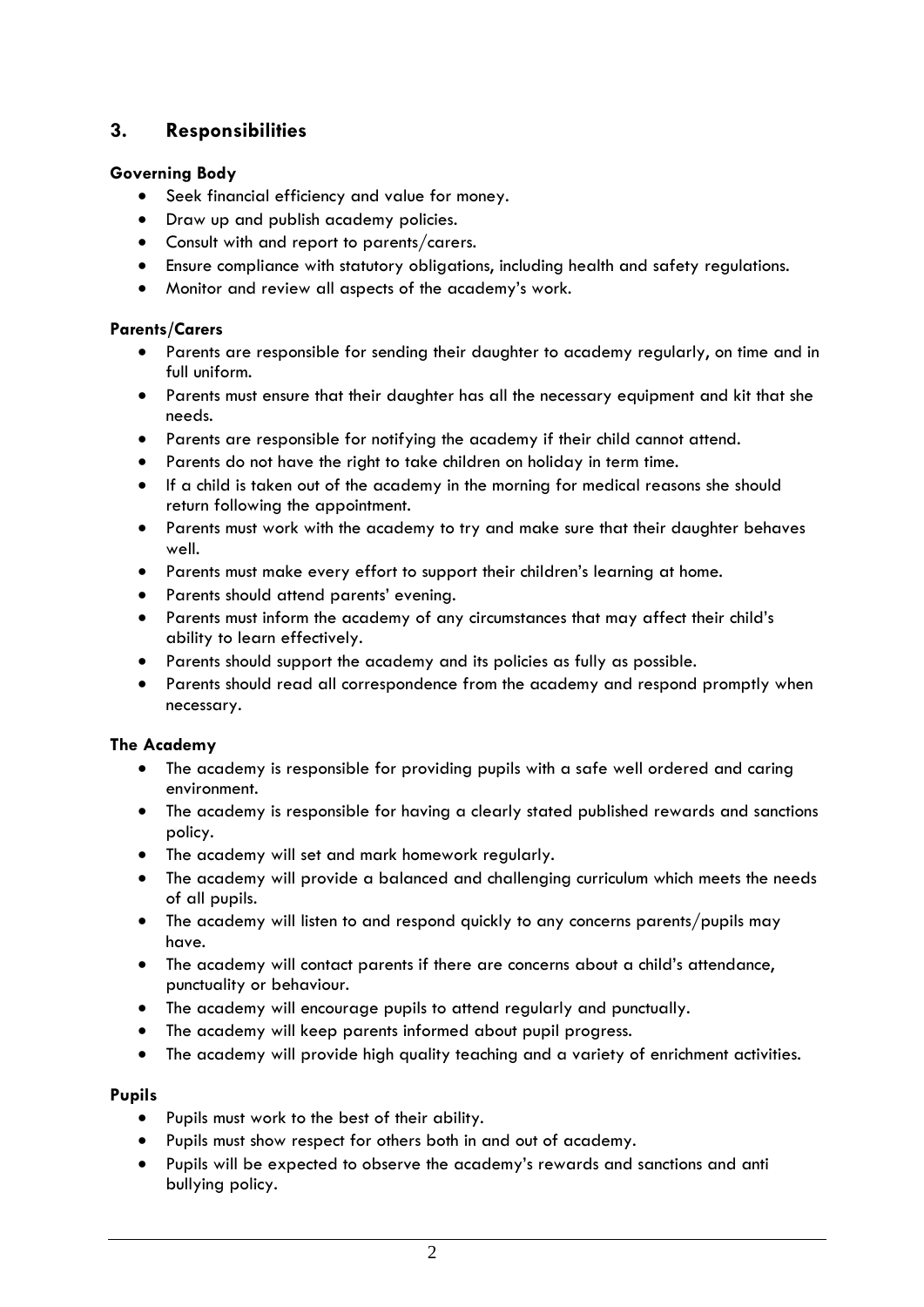# **3. Responsibilities**

### **Governing Body**

- Seek financial efficiency and value for money.
- Draw up and publish academy policies.
- Consult with and report to parents/carers.
- Ensure compliance with statutory obligations, including health and safety regulations.
- Monitor and review all aspects of the academy's work.

### **Parents/Carers**

- Parents are responsible for sending their daughter to academy regularly, on time and in full uniform.
- Parents must ensure that their daughter has all the necessary equipment and kit that she needs.
- Parents are responsible for notifying the academy if their child cannot attend.
- Parents do not have the right to take children on holiday in term time.
- If a child is taken out of the academy in the morning for medical reasons she should return following the appointment.
- Parents must work with the academy to try and make sure that their daughter behaves well.
- Parents must make every effort to support their children's learning at home.
- Parents should attend parents' evening.
- Parents must inform the academy of any circumstances that may affect their child's ability to learn effectively.
- Parents should support the academy and its policies as fully as possible.
- Parents should read all correspondence from the academy and respond promptly when necessary.

### **The Academy**

- The academy is responsible for providing pupils with a safe well ordered and caring environment.
- The academy is responsible for having a clearly stated published rewards and sanctions policy.
- The academy will set and mark homework regularly.
- The academy will provide a balanced and challenging curriculum which meets the needs of all pupils.
- The academy will listen to and respond quickly to any concerns parents/pupils may have.
- The academy will contact parents if there are concerns about a child's attendance, punctuality or behaviour.
- The academy will encourage pupils to attend regularly and punctually.
- The academy will keep parents informed about pupil progress.
- The academy will provide high quality teaching and a variety of enrichment activities.

### **Pupils**

- Pupils must work to the best of their ability.
- Pupils must show respect for others both in and out of academy.
- Pupils will be expected to observe the academy's rewards and sanctions and anti bullying policy.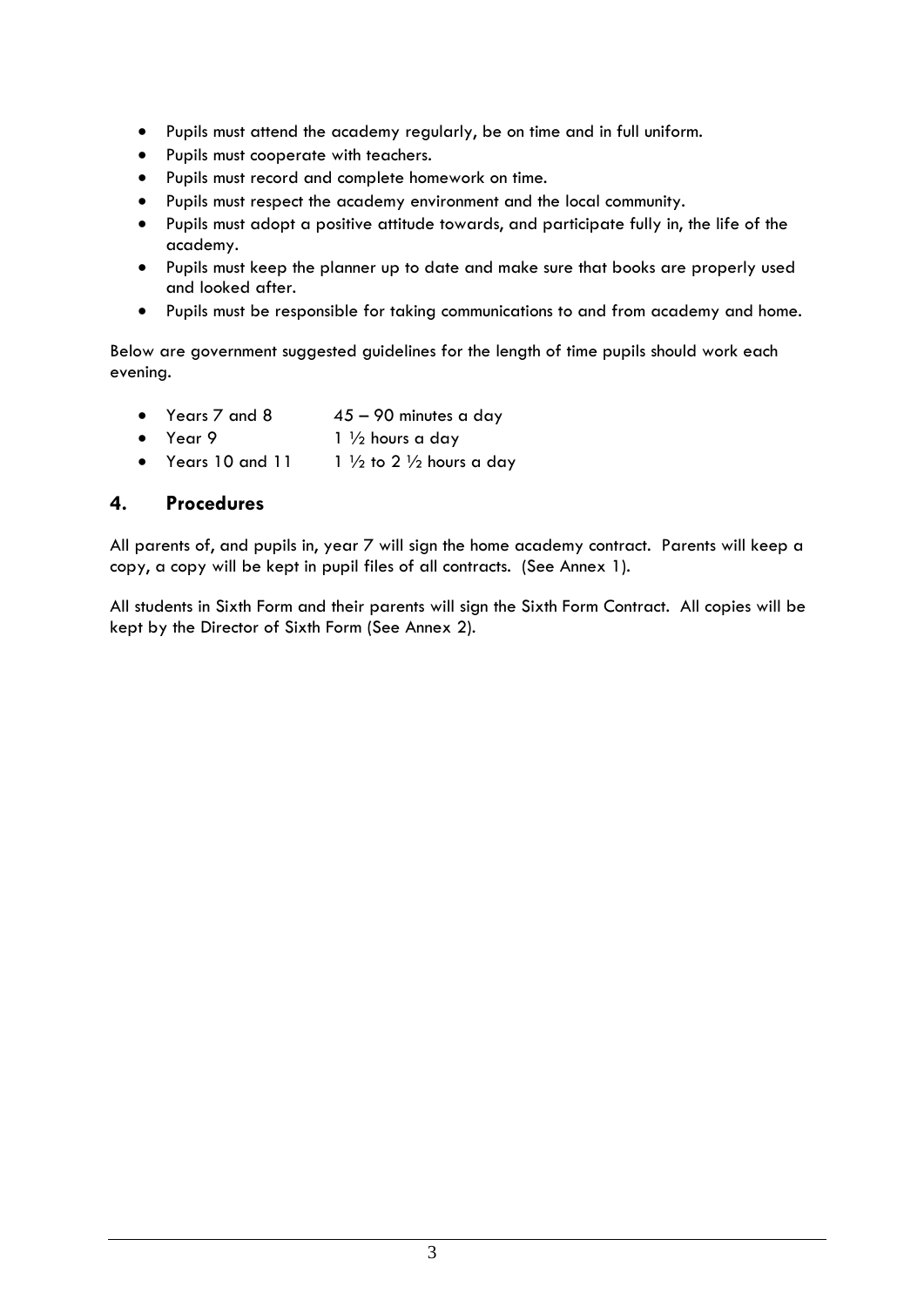- Pupils must attend the academy regularly, be on time and in full uniform.
- Pupils must cooperate with teachers.
- Pupils must record and complete homework on time.
- Pupils must respect the academy environment and the local community.
- Pupils must adopt a positive attitude towards, and participate fully in, the life of the academy.
- Pupils must keep the planner up to date and make sure that books are properly used and looked after.
- Pupils must be responsible for taking communications to and from academy and home.

Below are government suggested guidelines for the length of time pupils should work each evening.

- Years  $7$  and  $8$  45 90 minutes a day
- Year 9  $1\frac{1}{2}$  hours a day
- Years 10 and 11  $\frac{1}{2}$  to 2  $\frac{1}{2}$  hours a day

### **4. Procedures**

All parents of, and pupils in, year 7 will sign the home academy contract. Parents will keep a copy, a copy will be kept in pupil files of all contracts. (See Annex 1).

All students in Sixth Form and their parents will sign the Sixth Form Contract. All copies will be kept by the Director of Sixth Form (See Annex 2).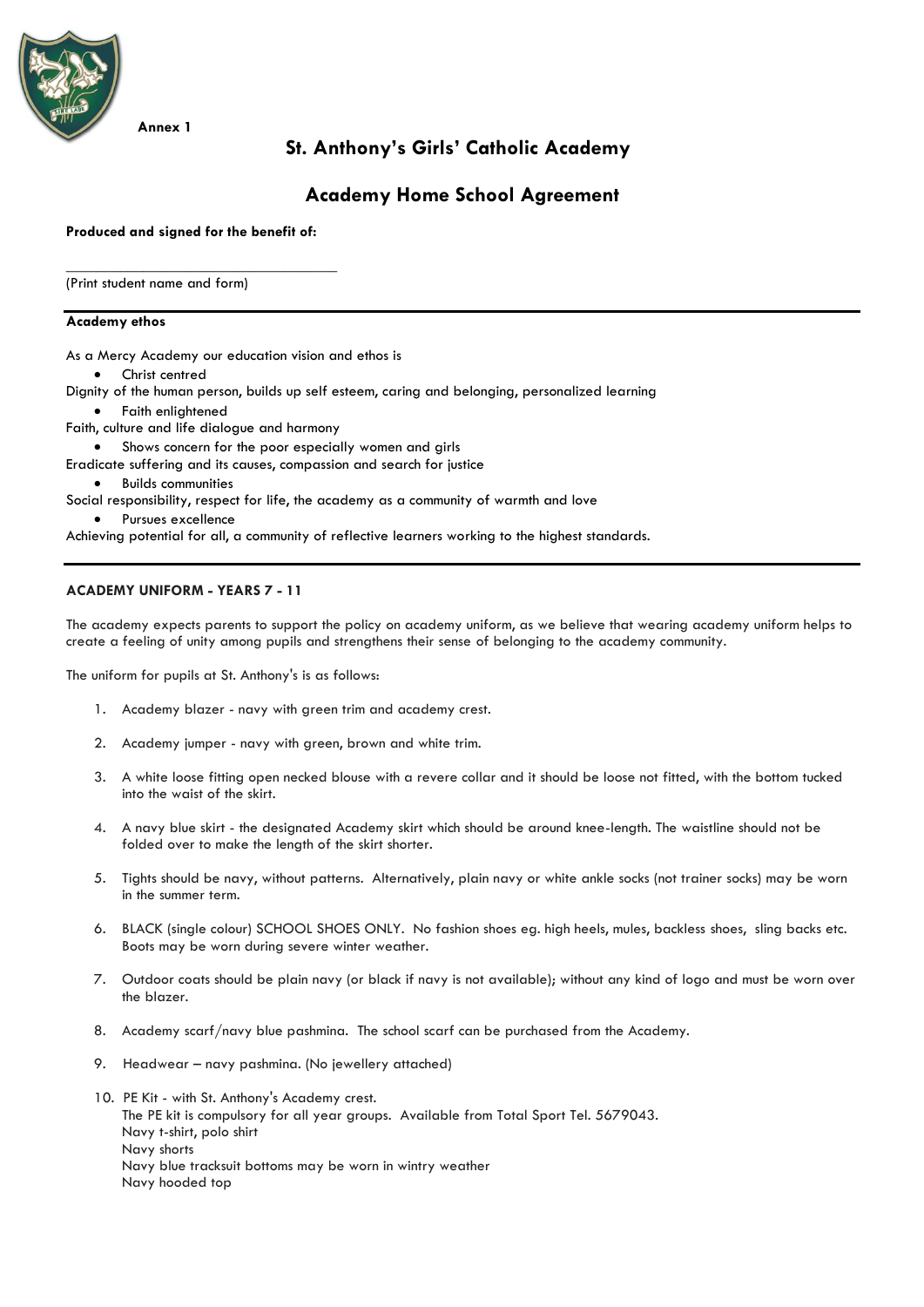

## **St. Anthony's Girls' Catholic Academy**

### **Academy Home School Agreement**

**Produced and signed for the benefit of:** 

\_\_\_\_\_\_\_\_\_\_\_\_\_\_\_\_\_\_\_\_\_\_\_\_\_\_\_\_\_\_\_\_\_\_\_

(Print student name and form)

#### **Academy ethos**

As a Mercy Academy our education vision and ethos is

Christ centred

Dignity of the human person, builds up self esteem, caring and belonging, personalized learning

- Faith enlightened
- Faith, culture and life dialogue and harmony
	- Shows concern for the poor especially women and girls
- Eradicate suffering and its causes, compassion and search for justice
- Builds communities

Social responsibility, respect for life, the academy as a community of warmth and love

Pursues excellence

Achieving potential for all, a community of reflective learners working to the highest standards.

#### **ACADEMY UNIFORM - YEARS 7 - 11**

The academy expects parents to support the policy on academy uniform, as we believe that wearing academy uniform helps to create a feeling of unity among pupils and strengthens their sense of belonging to the academy community.

The uniform for pupils at St. Anthony's is as follows:

- 1. Academy blazer navy with green trim and academy crest.
- 2. Academy jumper navy with green, brown and white trim.
- 3. A white loose fitting open necked blouse with a revere collar and it should be loose not fitted, with the bottom tucked into the waist of the skirt.
- 4. A navy blue skirt the designated Academy skirt which should be around knee-length. The waistline should not be folded over to make the length of the skirt shorter.
- 5. Tights should be navy, without patterns. Alternatively, plain navy or white ankle socks (not trainer socks) may be worn in the summer term.
- 6. BLACK (single colour) SCHOOL SHOES ONLY. No fashion shoes eg. high heels, mules, backless shoes, sling backs etc. Boots may be worn during severe winter weather.
- 7. Outdoor coats should be plain navy (or black if navy is not available); without any kind of logo and must be worn over the blazer.
- 8. Academy scarf/navy blue pashmina. The school scarf can be purchased from the Academy.
- 9. Headwear navy pashmina. (No jewellery attached)
- 10. PE Kit with St. Anthony's Academy crest. The PE kit is compulsory for all year groups. Available from Total Sport Tel. 5679043. Navy t-shirt, polo shirt Navy shorts Navy blue tracksuit bottoms may be worn in wintry weather Navy hooded top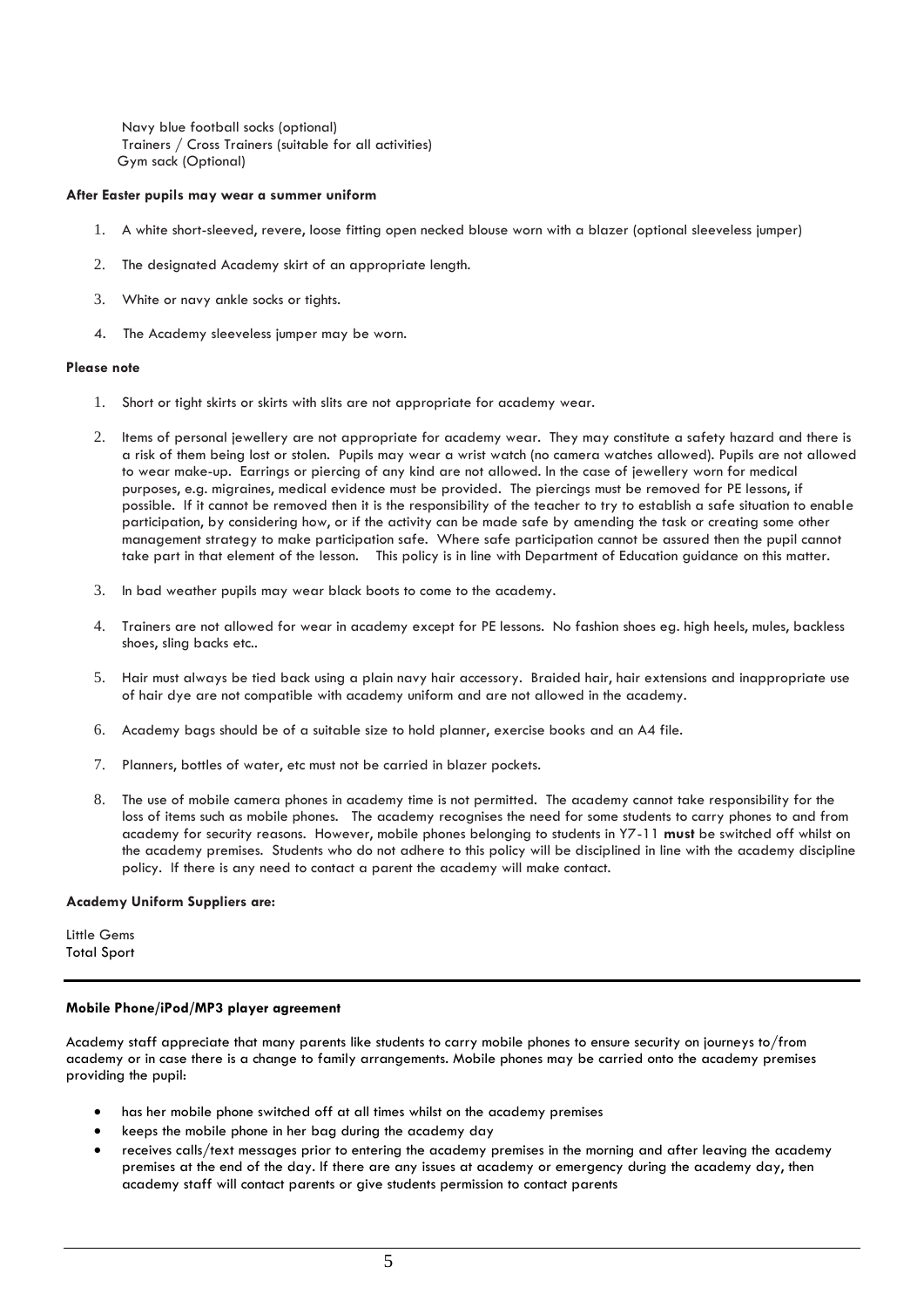Navy blue football socks (optional) Trainers / Cross Trainers (suitable for all activities) Gym sack (Optional)

#### **After Easter pupils may wear a summer uniform**

- 1. A white short-sleeved, revere, loose fitting open necked blouse worn with a blazer (optional sleeveless jumper)
- 2. The designated Academy skirt of an appropriate length.
- 3. White or navy ankle socks or tights.
- 4. The Academy sleeveless jumper may be worn.

#### **Please note**

- 1. Short or tight skirts or skirts with slits are not appropriate for academy wear.
- 2. Items of personal jewellery are not appropriate for academy wear. They may constitute a safety hazard and there is a risk of them being lost or stolen. Pupils may wear a wrist watch (no camera watches allowed). Pupils are not allowed to wear make-up. Earrings or piercing of any kind are not allowed. In the case of jewellery worn for medical purposes, e.g. migraines, medical evidence must be provided. The piercings must be removed for PE lessons, if possible. If it cannot be removed then it is the responsibility of the teacher to try to establish a safe situation to enable participation, by considering how, or if the activity can be made safe by amending the task or creating some other management strategy to make participation safe. Where safe participation cannot be assured then the pupil cannot take part in that element of the lesson. This policy is in line with Department of Education guidance on this matter.
- 3. In bad weather pupils may wear black boots to come to the academy.
- 4. Trainers are not allowed for wear in academy except for PE lessons. No fashion shoes eg. high heels, mules, backless shoes, sling backs etc..
- 5. Hair must always be tied back using a plain navy hair accessory. Braided hair, hair extensions and inappropriate use of hair dye are not compatible with academy uniform and are not allowed in the academy.
- 6. Academy bags should be of a suitable size to hold planner, exercise books and an A4 file.
- 7. Planners, bottles of water, etc must not be carried in blazer pockets.
- 8. The use of mobile camera phones in academy time is not permitted. The academy cannot take responsibility for the loss of items such as mobile phones. The academy recognises the need for some students to carry phones to and from academy for security reasons. However, mobile phones belonging to students in Y7-11 **must** be switched off whilst on the academy premises. Students who do not adhere to this policy will be disciplined in line with the academy discipline policy. If there is any need to contact a parent the academy will make contact.

#### **Academy Uniform Suppliers are:**

Little Gems Total Sport

#### **Mobile Phone/iPod/MP3 player agreement**

Academy staff appreciate that many parents like students to carry mobile phones to ensure security on journeys to/from academy or in case there is a change to family arrangements. Mobile phones may be carried onto the academy premises providing the pupil:

- has her mobile phone switched off at all times whilst on the academy premises
- keeps the mobile phone in her bag during the academy day
- receives calls/text messages prior to entering the academy premises in the morning and after leaving the academy premises at the end of the day. If there are any issues at academy or emergency during the academy day, then academy staff will contact parents or give students permission to contact parents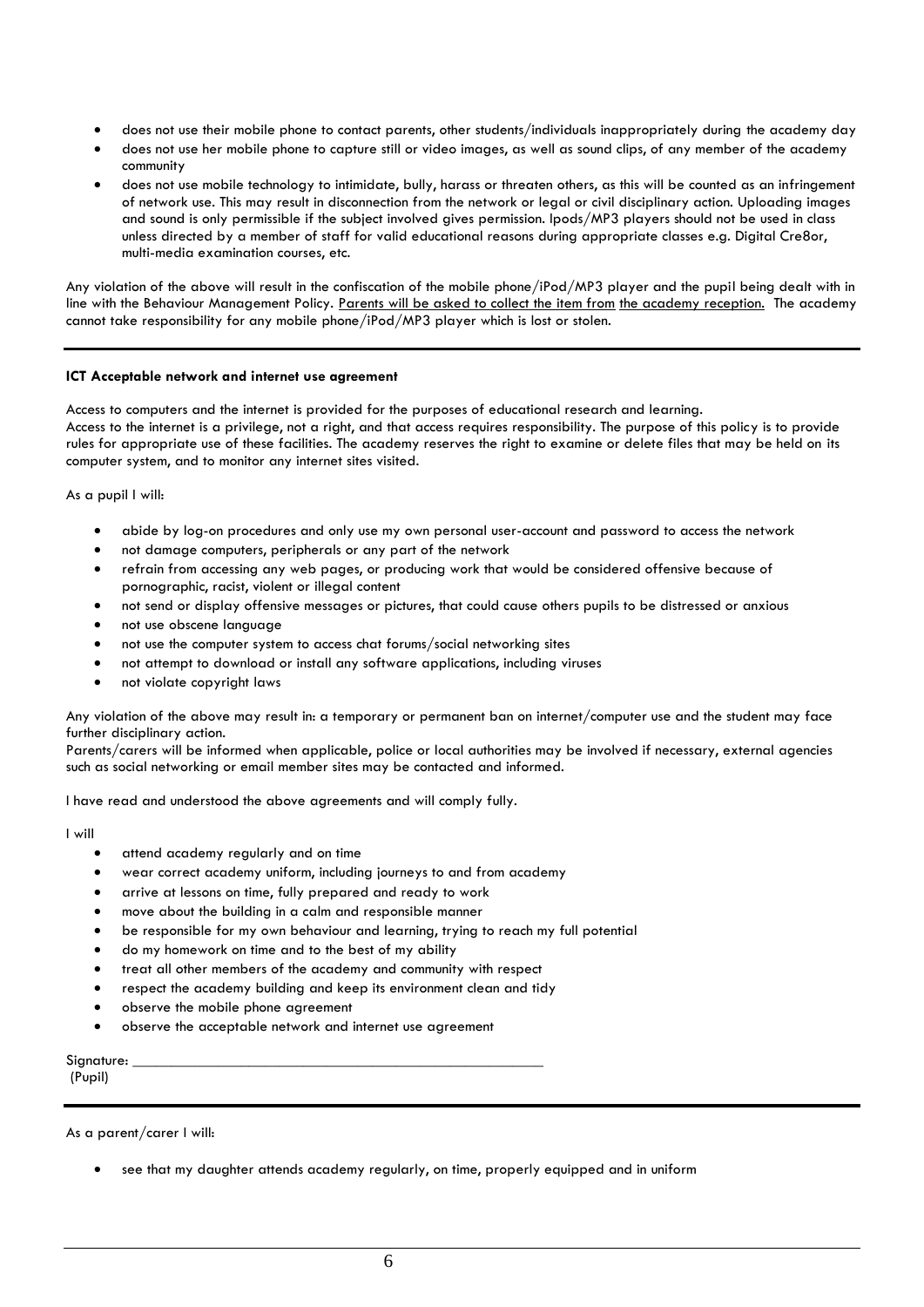- does not use their mobile phone to contact parents, other students/individuals inappropriately during the academy day
- does not use her mobile phone to capture still or video images, as well as sound clips, of any member of the academy community
- does not use mobile technology to intimidate, bully, harass or threaten others, as this will be counted as an infringement of network use. This may result in disconnection from the network or legal or civil disciplinary action. Uploading images and sound is only permissible if the subject involved gives permission. Ipods/MP3 players should not be used in class unless directed by a member of staff for valid educational reasons during appropriate classes e.g. Digital Cre8or, multi-media examination courses, etc.

Any violation of the above will result in the confiscation of the mobile phone/iPod/MP3 player and the pupil being dealt with in line with the Behaviour Management Policy. Parents will be asked to collect the item from the academy reception. The academy cannot take responsibility for any mobile phone/iPod/MP3 player which is lost or stolen.

#### **ICT Acceptable network and internet use agreement**

Access to computers and the internet is provided for the purposes of educational research and learning. Access to the internet is a privilege, not a right, and that access requires responsibility. The purpose of this policy is to provide rules for appropriate use of these facilities. The academy reserves the right to examine or delete files that may be held on its computer system, and to monitor any internet sites visited.

As a pupil I will:

- abide by log-on procedures and only use my own personal user-account and password to access the network
- not damage computers, peripherals or any part of the network
- refrain from accessing any web pages, or producing work that would be considered offensive because of pornographic, racist, violent or illegal content
- not send or display offensive messages or pictures, that could cause others pupils to be distressed or anxious
- not use obscene language
- not use the computer system to access chat forums/social networking sites
- not attempt to download or install any software applications, including viruses
- not violate copyright laws

Any violation of the above may result in: a temporary or permanent ban on internet/computer use and the student may face further disciplinary action.

Parents/carers will be informed when applicable, police or local authorities may be involved if necessary, external agencies such as social networking or email member sites may be contacted and informed.

I have read and understood the above agreements and will comply fully.

I will

- attend academy regularly and on time
- wear correct academy uniform, including journeys to and from academy
- arrive at lessons on time, fully prepared and ready to work
- move about the building in a calm and responsible manner
- be responsible for my own behaviour and learning, trying to reach my full potential
- do my homework on time and to the best of my ability
- treat all other members of the academy and community with respect
- respect the academy building and keep its environment clean and tidy
- observe the mobile phone agreement
- observe the acceptable network and internet use agreement

Signature:

(Pupil)

As a parent/carer I will:

see that my daughter attends academy regularly, on time, properly equipped and in uniform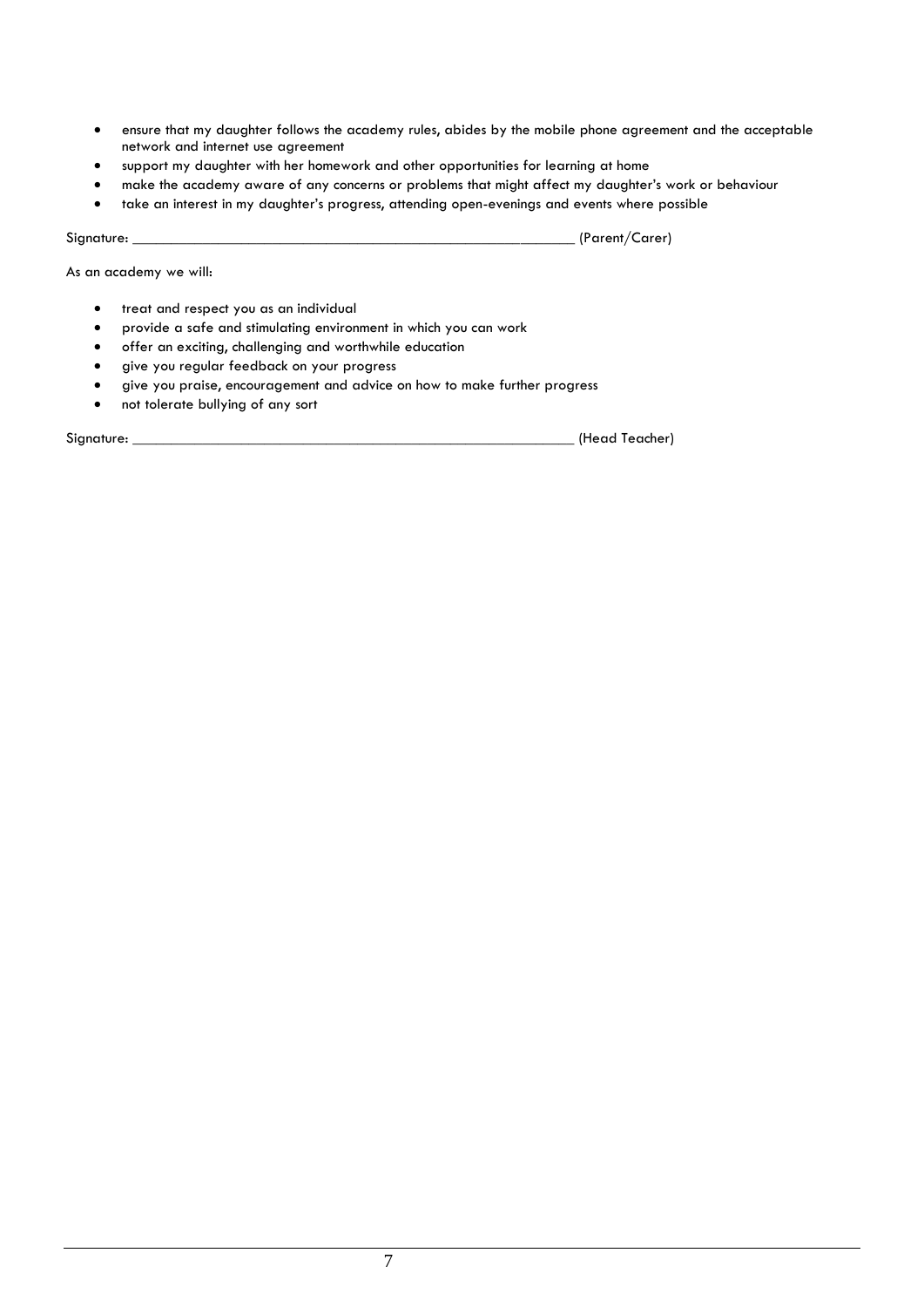- ensure that my daughter follows the academy rules, abides by the mobile phone agreement and the acceptable network and internet use agreement
- support my daughter with her homework and other opportunities for learning at home
- make the academy aware of any concerns or problems that might affect my daughter's work or behaviour
- take an interest in my daughter's progress, attending open-evenings and events where possible

Signature: \_\_\_\_\_\_\_\_\_\_\_\_\_\_\_\_\_\_\_\_\_\_\_\_\_\_\_\_\_\_\_\_\_\_\_\_\_\_\_\_\_\_\_\_\_\_\_\_\_\_\_\_\_\_\_\_\_ (Parent/Carer)

As an academy we will:

- treat and respect you as an individual
- provide a safe and stimulating environment in which you can work
- offer an exciting, challenging and worthwhile education
- give you regular feedback on your progress
- give you praise, encouragement and advice on how to make further progress
- not tolerate bullying of any sort

Signature: \_\_\_\_\_\_\_\_\_\_\_\_\_\_\_\_\_\_\_\_\_\_\_\_\_\_\_\_\_\_\_\_\_\_\_\_\_\_\_\_\_\_\_\_\_\_\_\_\_\_\_\_\_\_\_\_\_ (Head Teacher)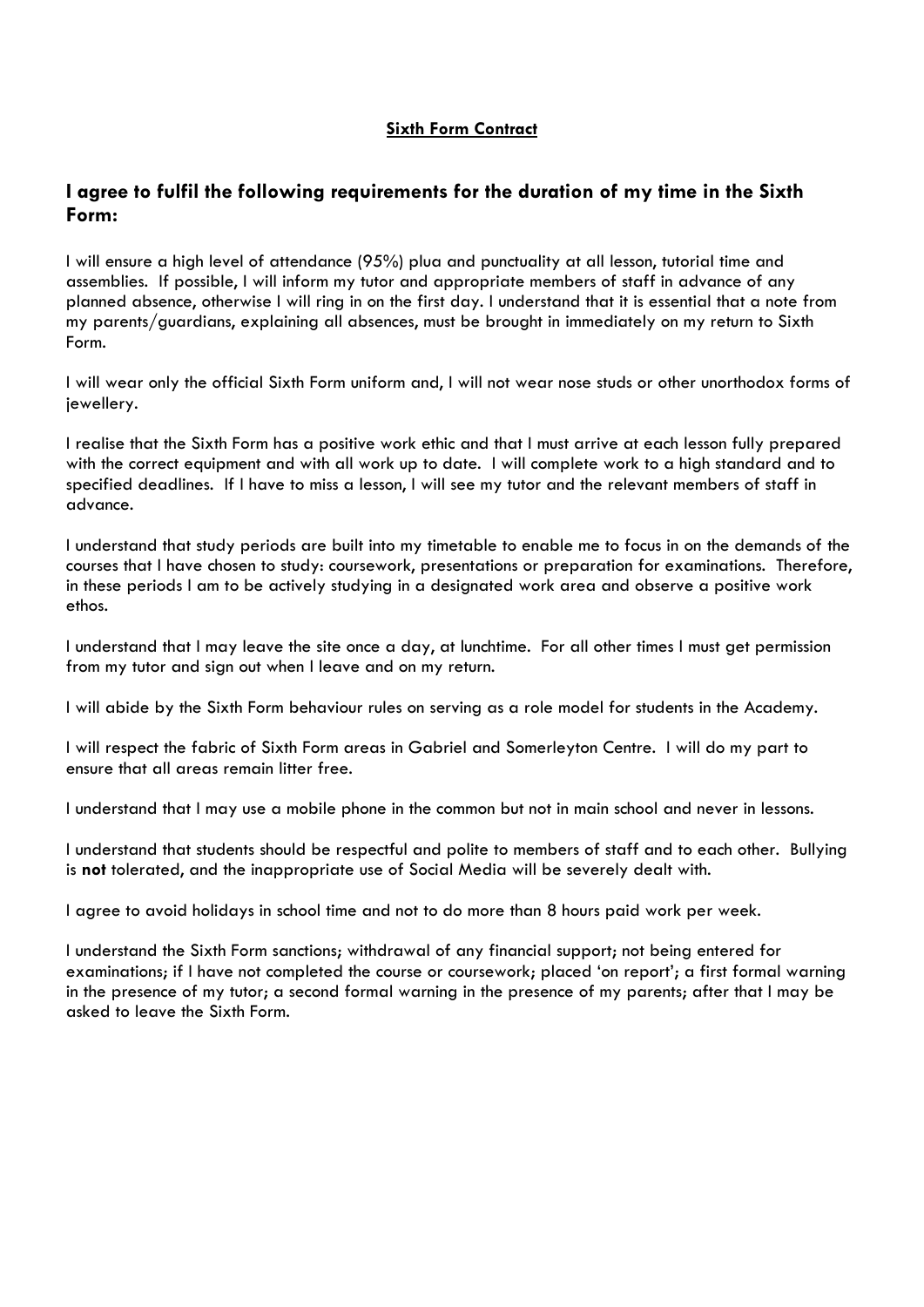### **Sixth Form Contract**

### **I agree to fulfil the following requirements for the duration of my time in the Sixth Form:**

I will ensure a high level of attendance (95%) plua and punctuality at all lesson, tutorial time and assemblies. If possible, I will inform my tutor and appropriate members of staff in advance of any planned absence, otherwise I will ring in on the first day. I understand that it is essential that a note from my parents/guardians, explaining all absences, must be brought in immediately on my return to Sixth Form.

I will wear only the official Sixth Form uniform and, I will not wear nose studs or other unorthodox forms of jewellery.

I realise that the Sixth Form has a positive work ethic and that I must arrive at each lesson fully prepared with the correct equipment and with all work up to date. I will complete work to a high standard and to specified deadlines. If I have to miss a lesson, I will see my tutor and the relevant members of staff in advance.

I understand that study periods are built into my timetable to enable me to focus in on the demands of the courses that I have chosen to study: coursework, presentations or preparation for examinations. Therefore, in these periods I am to be actively studying in a designated work area and observe a positive work ethos.

I understand that I may leave the site once a day, at lunchtime. For all other times I must get permission from my tutor and sign out when I leave and on my return.

I will abide by the Sixth Form behaviour rules on serving as a role model for students in the Academy.

I will respect the fabric of Sixth Form areas in Gabriel and Somerleyton Centre. I will do my part to ensure that all areas remain litter free.

I understand that I may use a mobile phone in the common but not in main school and never in lessons.

I understand that students should be respectful and polite to members of staff and to each other. Bullying is **not** tolerated, and the inappropriate use of Social Media will be severely dealt with.

I agree to avoid holidays in school time and not to do more than 8 hours paid work per week.

I understand the Sixth Form sanctions; withdrawal of any financial support; not being entered for examinations; if I have not completed the course or coursework; placed 'on report'; a first formal warning in the presence of my tutor; a second formal warning in the presence of my parents; after that I may be asked to leave the Sixth Form.